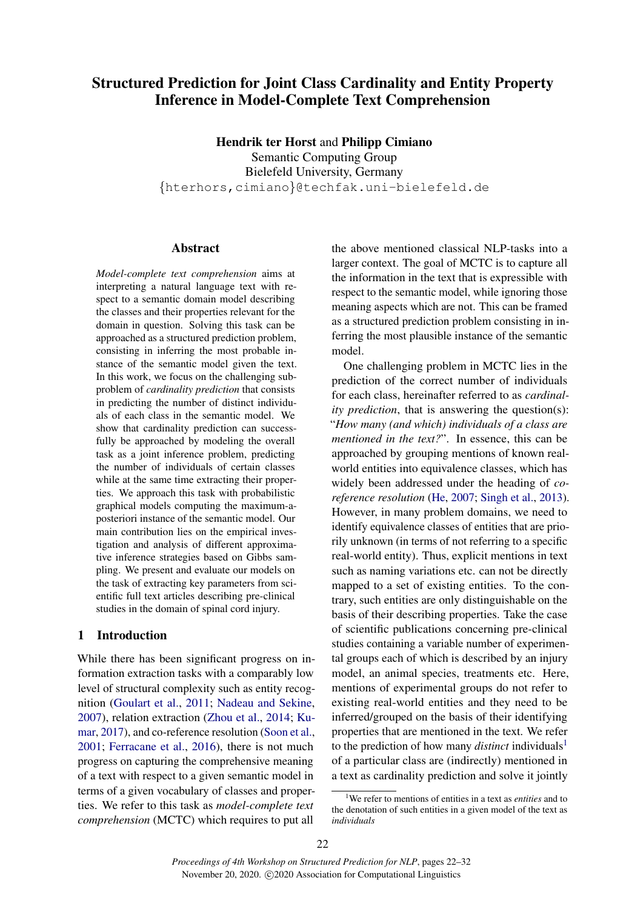# Structured Prediction for Joint Class Cardinality and Entity Property Inference in Model-Complete Text Comprehension

Hendrik ter Horst and Philipp Cimiano Semantic Computing Group Bielefeld University, Germany {hterhors,cimiano}@techfak.uni-bielefeld.de

# Abstract

*Model-complete text comprehension* aims at interpreting a natural language text with respect to a semantic domain model describing the classes and their properties relevant for the domain in question. Solving this task can be approached as a structured prediction problem, consisting in inferring the most probable instance of the semantic model given the text. In this work, we focus on the challenging subproblem of *cardinality prediction* that consists in predicting the number of distinct individuals of each class in the semantic model. We show that cardinality prediction can successfully be approached by modeling the overall task as a joint inference problem, predicting the number of individuals of certain classes while at the same time extracting their properties. We approach this task with probabilistic graphical models computing the maximum-aposteriori instance of the semantic model. Our main contribution lies on the empirical investigation and analysis of different approximative inference strategies based on Gibbs sampling. We present and evaluate our models on the task of extracting key parameters from scientific full text articles describing pre-clinical studies in the domain of spinal cord injury.

# 1 Introduction

While there has been significant progress on information extraction tasks with a comparably low level of structural complexity such as entity recognition [\(Goulart et al.,](#page-8-0) [2011;](#page-8-0) [Nadeau and Sekine,](#page-9-0) [2007\)](#page-9-0), relation extraction [\(Zhou et al.,](#page-10-0) [2014;](#page-10-0) [Ku](#page-9-1)[mar,](#page-9-1) [2017\)](#page-9-1), and co-reference resolution [\(Soon et al.,](#page-9-2) [2001;](#page-9-2) [Ferracane et al.,](#page-8-1) [2016\)](#page-8-1), there is not much progress on capturing the comprehensive meaning of a text with respect to a given semantic model in terms of a given vocabulary of classes and properties. We refer to this task as *model-complete text comprehension* (MCTC) which requires to put all

the above mentioned classical NLP-tasks into a larger context. The goal of MCTC is to capture all the information in the text that is expressible with respect to the semantic model, while ignoring those meaning aspects which are not. This can be framed as a structured prediction problem consisting in inferring the most plausible instance of the semantic model.

One challenging problem in MCTC lies in the prediction of the correct number of individuals for each class, hereinafter referred to as *cardinality prediction*, that is answering the question(s): "*How many (and which) individuals of a class are mentioned in the text?".* In essence, this can be approached by grouping mentions of known realworld entities into equivalence classes, which has widely been addressed under the heading of *coreference resolution* [\(He,](#page-9-3) [2007;](#page-9-3) [Singh et al.,](#page-9-4) [2013\)](#page-9-4). However, in many problem domains, we need to identify equivalence classes of entities that are priorily unknown (in terms of not referring to a specific real-world entity). Thus, explicit mentions in text such as naming variations etc. can not be directly mapped to a set of existing entities. To the contrary, such entities are only distinguishable on the basis of their describing properties. Take the case of scientific publications concerning pre-clinical studies containing a variable number of experimental groups each of which is described by an injury model, an animal species, treatments etc. Here, mentions of experimental groups do not refer to existing real-world entities and they need to be inferred/grouped on the basis of their identifying properties that are mentioned in the text. We refer to the prediction of how many *distinct* individuals[1](#page-0-0) of a particular class are (indirectly) mentioned in a text as cardinality prediction and solve it jointly

<span id="page-0-0"></span><sup>1</sup>We refer to mentions of entities in a text as *entities* and to the denotation of such entities in a given model of the text as *individuals*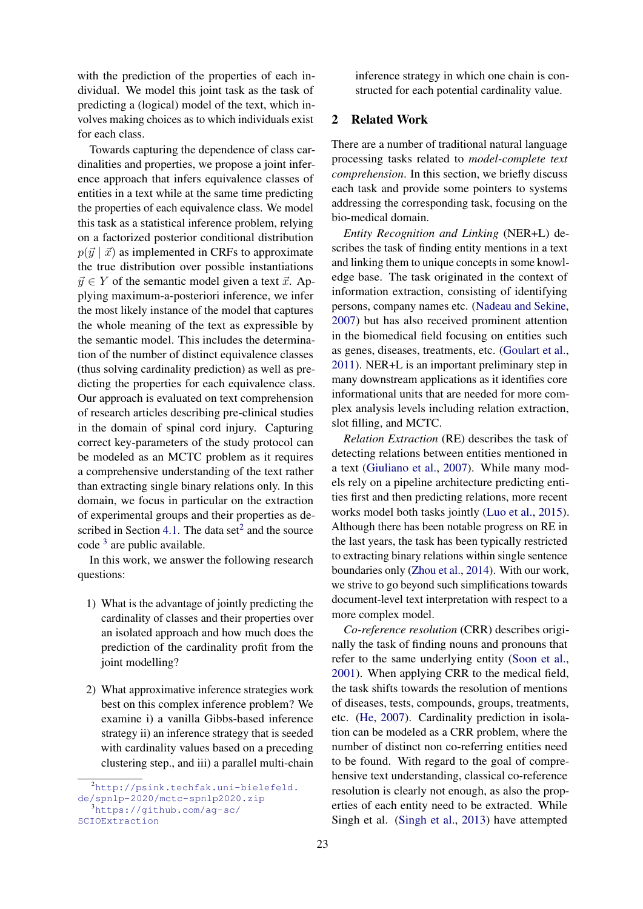with the prediction of the properties of each individual. We model this joint task as the task of predicting a (logical) model of the text, which involves making choices as to which individuals exist for each class.

Towards capturing the dependence of class cardinalities and properties, we propose a joint inference approach that infers equivalence classes of entities in a text while at the same time predicting the properties of each equivalence class. We model this task as a statistical inference problem, relying on a factorized posterior conditional distribution  $p(\vec{y} | \vec{x})$  as implemented in CRFs to approximate the true distribution over possible instantiations  $\vec{y} \in Y$  of the semantic model given a text  $\vec{x}$ . Applying maximum-a-posteriori inference, we infer the most likely instance of the model that captures the whole meaning of the text as expressible by the semantic model. This includes the determination of the number of distinct equivalence classes (thus solving cardinality prediction) as well as predicting the properties for each equivalence class. Our approach is evaluated on text comprehension of research articles describing pre-clinical studies in the domain of spinal cord injury. Capturing correct key-parameters of the study protocol can be modeled as an MCTC problem as it requires a comprehensive understanding of the text rather than extracting single binary relations only. In this domain, we focus in particular on the extraction of experimental groups and their properties as de-scribed in Section [4.1.](#page-5-0) The data set<sup>[2](#page-1-0)</sup> and the source code <sup>[3](#page-1-1)</sup> are public available.

In this work, we answer the following research questions:

- 1) What is the advantage of jointly predicting the cardinality of classes and their properties over an isolated approach and how much does the prediction of the cardinality profit from the joint modelling?
- 2) What approximative inference strategies work best on this complex inference problem? We examine i) a vanilla Gibbs-based inference strategy ii) an inference strategy that is seeded with cardinality values based on a preceding clustering step., and iii) a parallel multi-chain

inference strategy in which one chain is constructed for each potential cardinality value.

## 2 Related Work

There are a number of traditional natural language processing tasks related to *model-complete text comprehension*. In this section, we briefly discuss each task and provide some pointers to systems addressing the corresponding task, focusing on the bio-medical domain.

*Entity Recognition and Linking* (NER+L) describes the task of finding entity mentions in a text and linking them to unique concepts in some knowledge base. The task originated in the context of information extraction, consisting of identifying persons, company names etc. [\(Nadeau and Sekine,](#page-9-0) [2007\)](#page-9-0) but has also received prominent attention in the biomedical field focusing on entities such as genes, diseases, treatments, etc. [\(Goulart et al.,](#page-8-0) [2011\)](#page-8-0). NER+L is an important preliminary step in many downstream applications as it identifies core informational units that are needed for more complex analysis levels including relation extraction, slot filling, and MCTC.

*Relation Extraction* (RE) describes the task of detecting relations between entities mentioned in a text [\(Giuliano et al.,](#page-8-2) [2007\)](#page-8-2). While many models rely on a pipeline architecture predicting entities first and then predicting relations, more recent works model both tasks jointly [\(Luo et al.,](#page-9-5) [2015\)](#page-9-5). Although there has been notable progress on RE in the last years, the task has been typically restricted to extracting binary relations within single sentence boundaries only [\(Zhou et al.,](#page-10-0) [2014\)](#page-10-0). With our work, we strive to go beyond such simplifications towards document-level text interpretation with respect to a more complex model.

*Co-reference resolution* (CRR) describes originally the task of finding nouns and pronouns that refer to the same underlying entity [\(Soon et al.,](#page-9-2) [2001\)](#page-9-2). When applying CRR to the medical field, the task shifts towards the resolution of mentions of diseases, tests, compounds, groups, treatments, etc. [\(He,](#page-9-3) [2007\)](#page-9-3). Cardinality prediction in isolation can be modeled as a CRR problem, where the number of distinct non co-referring entities need to be found. With regard to the goal of comprehensive text understanding, classical co-reference resolution is clearly not enough, as also the properties of each entity need to be extracted. While Singh et al. [\(Singh et al.,](#page-9-4) [2013\)](#page-9-4) have attempted

<span id="page-1-0"></span><sup>2</sup>[http://psink.techfak.uni-bielefeld.](http://psink.techfak.uni-bielefeld.de/spnlp-2020/mctc-spnlp2020.zip) [de/spnlp-2020/mctc-spnlp2020.zip](http://psink.techfak.uni-bielefeld.de/spnlp-2020/mctc-spnlp2020.zip)

<span id="page-1-1"></span><sup>3</sup>[https://github.com/ag-sc/](https://github.com/ag-sc/SCIOExtraction)

[SCIOExtraction](https://github.com/ag-sc/SCIOExtraction)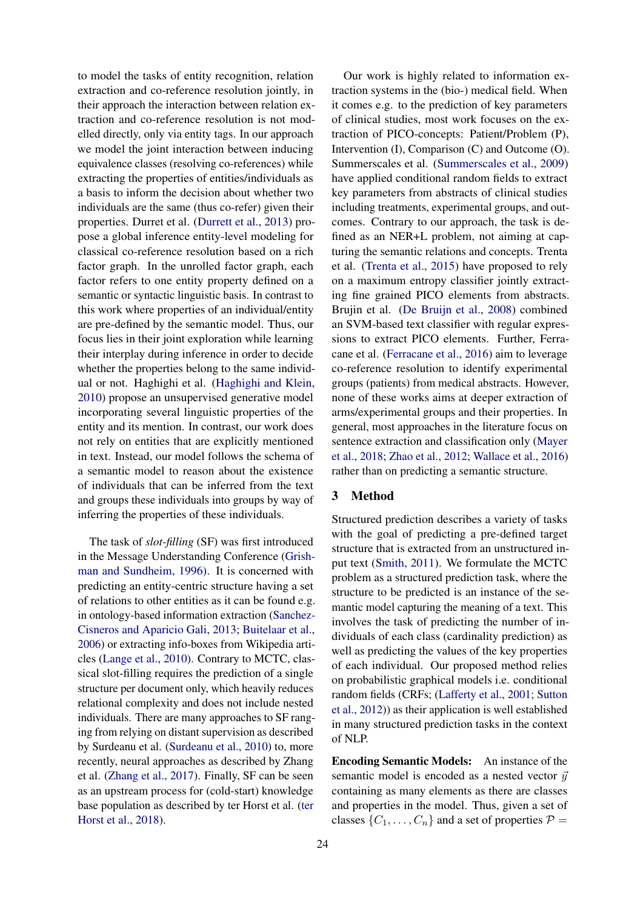to model the tasks of entity recognition, relation extraction and co-reference resolution jointly, in their approach the interaction between relation extraction and co-reference resolution is not modelled directly, only via entity tags. In our approach we model the joint interaction between inducing equivalence classes (resolving co-references) while extracting the properties of entities/individuals as a basis to inform the decision about whether two individuals are the same (thus co-refer) given their properties. Durret et al. [\(Durrett et al.,](#page-8-3) [2013\)](#page-8-3) propose a global inference entity-level modeling for classical co-reference resolution based on a rich factor graph. In the unrolled factor graph, each factor refers to one entity property defined on a semantic or syntactic linguistic basis. In contrast to this work where properties of an individual/entity are pre-defined by the semantic model. Thus, our focus lies in their joint exploration while learning their interplay during inference in order to decide whether the properties belong to the same individual or not. Haghighi et al. [\(Haghighi and Klein,](#page-9-6) [2010\)](#page-9-6) propose an unsupervised generative model incorporating several linguistic properties of the entity and its mention. In contrast, our work does not rely on entities that are explicitly mentioned in text. Instead, our model follows the schema of a semantic model to reason about the existence of individuals that can be inferred from the text and groups these individuals into groups by way of inferring the properties of these individuals.

The task of *slot-filling* (SF) was first introduced in the Message Understanding Conference [\(Grish](#page-9-7)[man and Sundheim,](#page-9-7) [1996\)](#page-9-7). It is concerned with predicting an entity-centric structure having a set of relations to other entities as it can be found e.g. in ontology-based information extraction [\(Sanchez-](#page-9-8)[Cisneros and Aparicio Gali,](#page-9-8) [2013;](#page-9-8) [Buitelaar et al.,](#page-8-4) [2006\)](#page-8-4) or extracting info-boxes from Wikipedia articles [\(Lange et al.,](#page-9-9) [2010\)](#page-9-9). Contrary to MCTC, classical slot-filling requires the prediction of a single structure per document only, which heavily reduces relational complexity and does not include nested individuals. There are many approaches to SF ranging from relying on distant supervision as described by Surdeanu et al. [\(Surdeanu et al.,](#page-9-10) [2010\)](#page-9-10) to, more recently, neural approaches as described by Zhang et al. [\(Zhang et al.,](#page-10-1) [2017\)](#page-10-1). Finally, SF can be seen as an upstream process for (cold-start) knowledge base population as described by ter Horst et al. [\(ter](#page-9-11) [Horst et al.,](#page-9-11) [2018\)](#page-9-11).

Our work is highly related to information extraction systems in the (bio-) medical field. When it comes e.g. to the prediction of key parameters of clinical studies, most work focuses on the extraction of PICO-concepts: Patient/Problem (P), Intervention (I), Comparison (C) and Outcome (O). Summerscales et al. [\(Summerscales et al.,](#page-9-12) [2009\)](#page-9-12) have applied conditional random fields to extract key parameters from abstracts of clinical studies including treatments, experimental groups, and outcomes. Contrary to our approach, the task is defined as an NER+L problem, not aiming at capturing the semantic relations and concepts. Trenta et al. [\(Trenta et al.,](#page-9-13) [2015\)](#page-9-13) have proposed to rely on a maximum entropy classifier jointly extracting fine grained PICO elements from abstracts. Brujin et al. [\(De Bruijn et al.,](#page-8-5) [2008\)](#page-8-5) combined an SVM-based text classifier with regular expressions to extract PICO elements. Further, Ferracane et al. [\(Ferracane et al.,](#page-8-1) [2016\)](#page-8-1) aim to leverage co-reference resolution to identify experimental groups (patients) from medical abstracts. However, none of these works aims at deeper extraction of arms/experimental groups and their properties. In general, most approaches in the literature focus on sentence extraction and classification only [\(Mayer](#page-9-14) [et al.,](#page-9-14) [2018;](#page-9-14) [Zhao et al.,](#page-10-2) [2012;](#page-10-2) [Wallace et al.,](#page-10-3) [2016\)](#page-10-3) rather than on predicting a semantic structure.

## 3 Method

Structured prediction describes a variety of tasks with the goal of predicting a pre-defined target structure that is extracted from an unstructured input text [\(Smith,](#page-9-15) [2011\)](#page-9-15). We formulate the MCTC problem as a structured prediction task, where the structure to be predicted is an instance of the semantic model capturing the meaning of a text. This involves the task of predicting the number of individuals of each class (cardinality prediction) as well as predicting the values of the key properties of each individual. Our proposed method relies on probabilistic graphical models i.e. conditional random fields (CRFs; [\(Lafferty et al.,](#page-9-16) [2001;](#page-9-16) [Sutton](#page-9-17) [et al.,](#page-9-17) [2012\)](#page-9-17)) as their application is well established in many structured prediction tasks in the context of NLP.

Encoding Semantic Models: An instance of the semantic model is encoded as a nested vector  $\vec{y}$ containing as many elements as there are classes and properties in the model. Thus, given a set of classes  $\{C_1, \ldots, C_n\}$  and a set of properties  $\mathcal{P} =$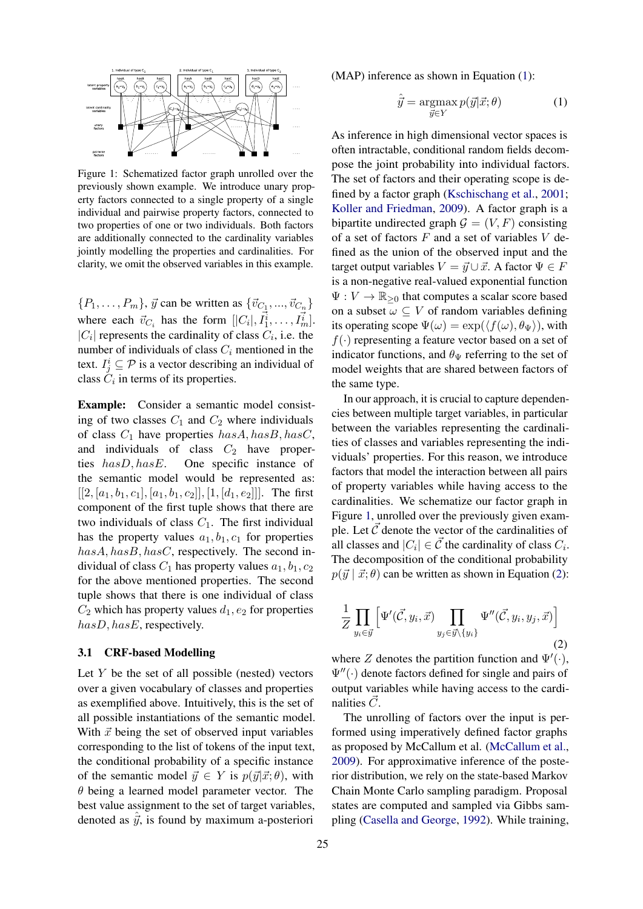<span id="page-3-1"></span>

Figure 1: Schematized factor graph unrolled over the previously shown example. We introduce unary property factors connected to a single property of a single individual and pairwise property factors, connected to two properties of one or two individuals. Both factors are additionally connected to the cardinality variables jointly modelling the properties and cardinalities. For clarity, we omit the observed variables in this example.

 $\{P_1, \ldots, P_m\}, \vec{y}$  can be written as  $\{\vec{v}_{C_1}, ..., \vec{v}_{C_n}\}$ where each  $\vec{v}_{C_i}$  has the form  $[|C_i|, \vec{I}_1^i, \dots, \vec{I}_m^i]$ .  $|C_i|$  represents the cardinality of class  $C_i$ , i.e. the number of individuals of class  $C_i$  mentioned in the text.  $I_j^i \subseteq \mathcal{P}$  is a vector describing an individual of class  $C_i$  in terms of its properties.

Example: Consider a semantic model consisting of two classes  $C_1$  and  $C_2$  where individuals of class  $C_1$  have properties  $hasA, hasB, hasC$ , and individuals of class  $C_2$  have properties hasD, hasE. One specific instance of the semantic model would be represented as:  $[[2, [a_1, b_1, c_1], [a_1, b_1, c_2]], [1, [d_1, e_2]]]$ . The first component of the first tuple shows that there are two individuals of class  $C_1$ . The first individual has the property values  $a_1, b_1, c_1$  for properties  $hasA, hasB, hasC$ , respectively. The second individual of class  $C_1$  has property values  $a_1, b_1, c_2$ for the above mentioned properties. The second tuple shows that there is one individual of class  $C_2$  which has property values  $d_1, e_2$  for properties hasD, hasE, respectively.

#### 3.1 CRF-based Modelling

Let  $Y$  be the set of all possible (nested) vectors over a given vocabulary of classes and properties as exemplified above. Intuitively, this is the set of all possible instantiations of the semantic model. With  $\vec{x}$  being the set of observed input variables corresponding to the list of tokens of the input text, the conditional probability of a specific instance of the semantic model  $\vec{y} \in Y$  is  $p(\vec{y}|\vec{x}; \theta)$ , with  $\theta$  being a learned model parameter vector. The best value assignment to the set of target variables, denoted as  $\hat{y}$ , is found by maximum a-posteriori

(MAP) inference as shown in Equation [\(1\)](#page-3-0):

<span id="page-3-0"></span>
$$
\hat{\vec{y}} = \underset{\vec{y} \in Y}{\operatorname{argmax}} p(\vec{y} | \vec{x}; \theta) \tag{1}
$$

As inference in high dimensional vector spaces is often intractable, conditional random fields decompose the joint probability into individual factors. The set of factors and their operating scope is defined by a factor graph [\(Kschischang et al.,](#page-9-18) [2001;](#page-9-18) [Koller and Friedman,](#page-9-19) [2009\)](#page-9-19). A factor graph is a bipartite undirected graph  $G = (V, F)$  consisting of a set of factors  $F$  and a set of variables  $V$  defined as the union of the observed input and the target output variables  $V = \vec{y} \cup \vec{x}$ . A factor  $\Psi \in F$ is a non-negative real-valued exponential function  $\Psi: V \to \mathbb{R}_{\geq 0}$  that computes a scalar score based on a subset  $\omega \subseteq V$  of random variables defining its operating scope  $\Psi(\omega) = \exp(\langle f(\omega), \theta_{\Psi} \rangle)$ , with  $f(\cdot)$  representing a feature vector based on a set of indicator functions, and  $\theta_{\Psi}$  referring to the set of model weights that are shared between factors of the same type.

In our approach, it is crucial to capture dependencies between multiple target variables, in particular between the variables representing the cardinalities of classes and variables representing the individuals' properties. For this reason, we introduce factors that model the interaction between all pairs of property variables while having access to the cardinalities. We schematize our factor graph in Figure [1,](#page-3-1) unrolled over the previously given example. Let  $\vec{C}$  denote the vector of the cardinalities of all classes and  $|C_i| \in \vec{C}$  the cardinality of class  $C_i$ . The decomposition of the conditional probability  $p(\vec{y} \mid \vec{x}; \theta)$  can be written as shown in Equation [\(2\)](#page-3-2):

<span id="page-3-2"></span>
$$
\frac{1}{Z} \prod_{y_i \in \vec{y}} \left[ \Psi'(\vec{C}, y_i, \vec{x}) \prod_{y_j \in \vec{y} \setminus \{y_i\}} \Psi''(\vec{C}, y_i, y_j, \vec{x}) \right]
$$
\n(2)

where Z denotes the partition function and  $\Psi'(\cdot)$ ,  $\Psi''(\cdot)$  denote factors defined for single and pairs of output variables while having access to the cardinalities  $\vec{C}$ .

The unrolling of factors over the input is performed using imperatively defined factor graphs as proposed by McCallum et al. [\(McCallum et al.,](#page-9-20) [2009\)](#page-9-20). For approximative inference of the posterior distribution, we rely on the state-based Markov Chain Monte Carlo sampling paradigm. Proposal states are computed and sampled via Gibbs sampling [\(Casella and George,](#page-8-6) [1992\)](#page-8-6). While training,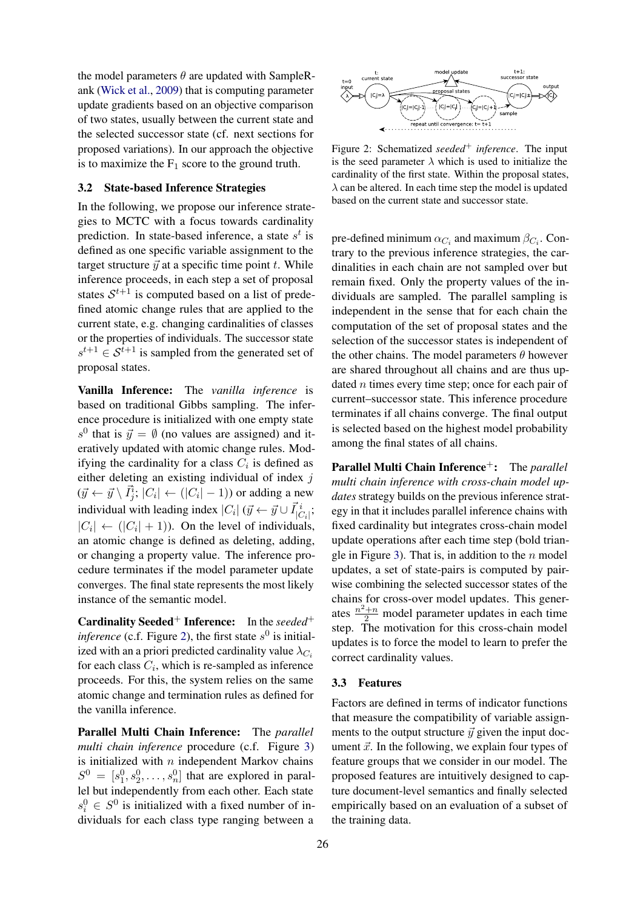the model parameters  $\theta$  are updated with SampleRank [\(Wick et al.,](#page-10-4) [2009\)](#page-10-4) that is computing parameter update gradients based on an objective comparison of two states, usually between the current state and the selected successor state (cf. next sections for proposed variations). In our approach the objective is to maximize the  $F_1$  score to the ground truth.

## <span id="page-4-1"></span>3.2 State-based Inference Strategies

In the following, we propose our inference strategies to MCTC with a focus towards cardinality prediction. In state-based inference, a state  $s^t$  is defined as one specific variable assignment to the target structure  $\vec{y}$  at a specific time point t. While inference proceeds, in each step a set of proposal states  $S^{t+1}$  is computed based on a list of predefined atomic change rules that are applied to the current state, e.g. changing cardinalities of classes or the properties of individuals. The successor state  $s^{t+1} \in S^{t+1}$  is sampled from the generated set of proposal states.

Vanilla Inference: The *vanilla inference* is based on traditional Gibbs sampling. The inference procedure is initialized with one empty state  $s^0$  that is  $\vec{y} = \emptyset$  (no values are assigned) and iteratively updated with atomic change rules. Modifying the cardinality for a class  $C_i$  is defined as either deleting an existing individual of index  $j$  $({\vec{y}} \leftarrow {\vec{y}} \setminus {\vec{I}_j^i}; |C_i| \leftarrow (|C_i| - 1))$  or adding a new individual with leading index  $|C_i|$  ( $\vec{y} \leftarrow \vec{y} \cup \vec{I}^i_{|C_i|}$ ;  $|C_i| \leftarrow (|C_i| + 1)$ ). On the level of individuals, an atomic change is defined as deleting, adding, or changing a property value. The inference procedure terminates if the model parameter update converges. The final state represents the most likely instance of the semantic model.

Cardinality Seeded<sup>+</sup> Inference: In the *seeded*<sup>+</sup> *inference* (c.f. Figure [2\)](#page-4-0), the first state  $s^0$  is initialized with an a priori predicted cardinality value  $\lambda_{C_i}$ for each class  $C_i$ , which is re-sampled as inference proceeds. For this, the system relies on the same atomic change and termination rules as defined for the vanilla inference.

Parallel Multi Chain Inference: The *parallel multi chain inference* procedure (c.f. Figure [3\)](#page-5-1) is initialized with  $n$  independent Markov chains  $S^0 = [s_1^0, s_2^0, \dots, s_n^0]$  that are explored in parallel but independently from each other. Each state  $s_i^0 \in S^0$  is initialized with a fixed number of individuals for each class type ranging between a

<span id="page-4-0"></span>

Figure 2: Schematized *seeded*<sup>+</sup> *inference*. The input is the seed parameter  $\lambda$  which is used to initialize the cardinality of the first state. Within the proposal states,  $\lambda$  can be altered. In each time step the model is updated based on the current state and successor state.

pre-defined minimum  $\alpha_{C_i}$  and maximum  $\beta_{C_i}$ . Contrary to the previous inference strategies, the cardinalities in each chain are not sampled over but remain fixed. Only the property values of the individuals are sampled. The parallel sampling is independent in the sense that for each chain the computation of the set of proposal states and the selection of the successor states is independent of the other chains. The model parameters  $\theta$  however are shared throughout all chains and are thus updated  $n$  times every time step; once for each pair of current–successor state. This inference procedure terminates if all chains converge. The final output is selected based on the highest model probability among the final states of all chains.

Parallel Multi Chain Inference<sup>+</sup>: The *parallel multi chain inference with cross-chain model updates* strategy builds on the previous inference strategy in that it includes parallel inference chains with fixed cardinality but integrates cross-chain model update operations after each time step (bold trian-gle in Figure [3\)](#page-5-1). That is, in addition to the  $n$  model updates, a set of state-pairs is computed by pairwise combining the selected successor states of the chains for cross-over model updates. This generates  $\frac{n^2+n}{2}$  model parameter updates in each time step. The motivation for this cross-chain model updates is to force the model to learn to prefer the correct cardinality values.

#### 3.3 Features

Factors are defined in terms of indicator functions that measure the compatibility of variable assignments to the output structure  $\vec{y}$  given the input document  $\vec{x}$ . In the following, we explain four types of feature groups that we consider in our model. The proposed features are intuitively designed to capture document-level semantics and finally selected empirically based on an evaluation of a subset of the training data.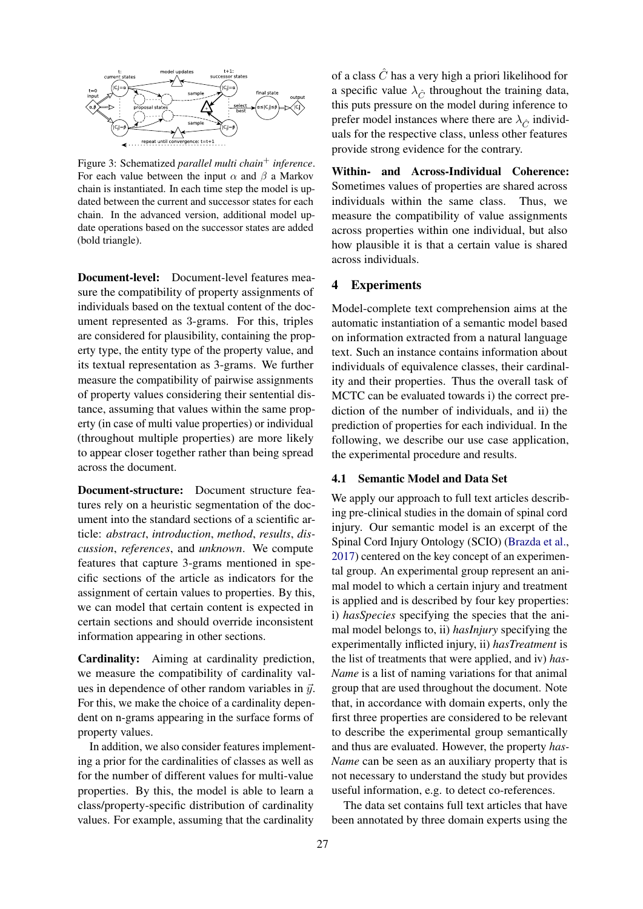<span id="page-5-1"></span>

Figure 3: Schematized *parallel multi chain*<sup>+</sup> *inference*. For each value between the input  $\alpha$  and  $\beta$  a Markov chain is instantiated. In each time step the model is updated between the current and successor states for each chain. In the advanced version, additional model update operations based on the successor states are added (bold triangle).

Document-level: Document-level features measure the compatibility of property assignments of individuals based on the textual content of the document represented as 3-grams. For this, triples are considered for plausibility, containing the property type, the entity type of the property value, and its textual representation as 3-grams. We further measure the compatibility of pairwise assignments of property values considering their sentential distance, assuming that values within the same property (in case of multi value properties) or individual (throughout multiple properties) are more likely to appear closer together rather than being spread across the document.

Document-structure: Document structure features rely on a heuristic segmentation of the document into the standard sections of a scientific article: *abstract*, *introduction*, *method*, *results*, *discussion*, *references*, and *unknown*. We compute features that capture 3-grams mentioned in specific sections of the article as indicators for the assignment of certain values to properties. By this, we can model that certain content is expected in certain sections and should override inconsistent information appearing in other sections.

Cardinality: Aiming at cardinality prediction, we measure the compatibility of cardinality values in dependence of other random variables in  $\vec{y}$ . For this, we make the choice of a cardinality dependent on n-grams appearing in the surface forms of property values.

In addition, we also consider features implementing a prior for the cardinalities of classes as well as for the number of different values for multi-value properties. By this, the model is able to learn a class/property-specific distribution of cardinality values. For example, assuming that the cardinality

of a class  $\ddot{C}$  has a very high a priori likelihood for a specific value  $\lambda_{\hat{C}}$  throughout the training data, this puts pressure on the model during inference to prefer model instances where there are  $\lambda_{\hat{C}}$  individuals for the respective class, unless other features provide strong evidence for the contrary.

Within- and Across-Individual Coherence: Sometimes values of properties are shared across individuals within the same class. Thus, we measure the compatibility of value assignments across properties within one individual, but also how plausible it is that a certain value is shared across individuals.

### 4 Experiments

Model-complete text comprehension aims at the automatic instantiation of a semantic model based on information extracted from a natural language text. Such an instance contains information about individuals of equivalence classes, their cardinality and their properties. Thus the overall task of MCTC can be evaluated towards i) the correct prediction of the number of individuals, and ii) the prediction of properties for each individual. In the following, we describe our use case application, the experimental procedure and results.

## <span id="page-5-0"></span>4.1 Semantic Model and Data Set

We apply our approach to full text articles describing pre-clinical studies in the domain of spinal cord injury. Our semantic model is an excerpt of the Spinal Cord Injury Ontology (SCIO) [\(Brazda et al.,](#page-8-7) [2017\)](#page-8-7) centered on the key concept of an experimental group. An experimental group represent an animal model to which a certain injury and treatment is applied and is described by four key properties: i) *hasSpecies* specifying the species that the animal model belongs to, ii) *hasInjury* specifying the experimentally inflicted injury, ii) *hasTreatment* is the list of treatments that were applied, and iv) *has-Name* is a list of naming variations for that animal group that are used throughout the document. Note that, in accordance with domain experts, only the first three properties are considered to be relevant to describe the experimental group semantically and thus are evaluated. However, the property *has-Name* can be seen as an auxiliary property that is not necessary to understand the study but provides useful information, e.g. to detect co-references.

The data set contains full text articles that have been annotated by three domain experts using the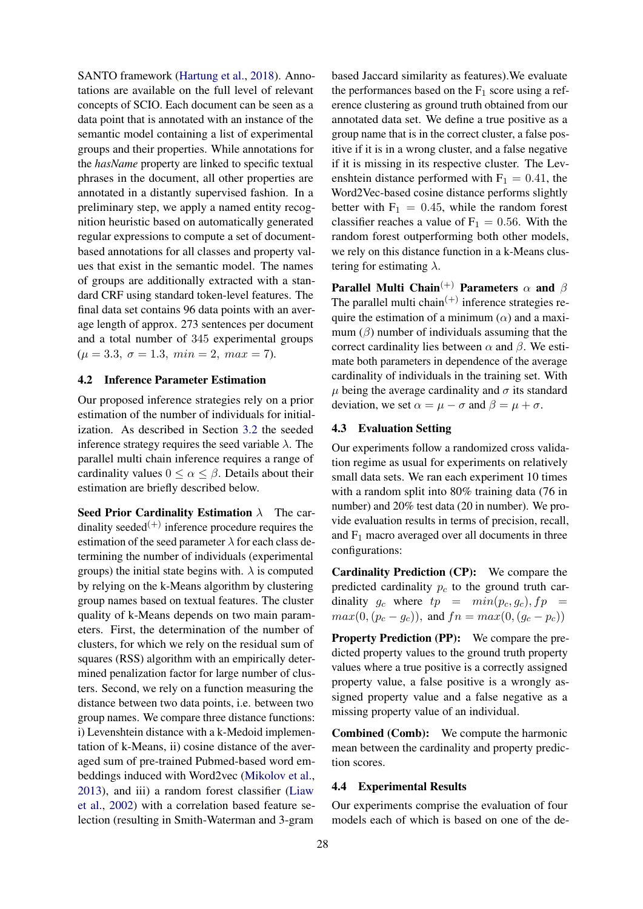SANTO framework [\(Hartung et al.,](#page-9-21) [2018\)](#page-9-21). Annotations are available on the full level of relevant concepts of SCIO. Each document can be seen as a data point that is annotated with an instance of the semantic model containing a list of experimental groups and their properties. While annotations for the *hasName* property are linked to specific textual phrases in the document, all other properties are annotated in a distantly supervised fashion. In a preliminary step, we apply a named entity recognition heuristic based on automatically generated regular expressions to compute a set of documentbased annotations for all classes and property values that exist in the semantic model. The names of groups are additionally extracted with a standard CRF using standard token-level features. The final data set contains 96 data points with an average length of approx. 273 sentences per document and a total number of 345 experimental groups  $(\mu = 3.3, \sigma = 1.3, \ min = 2, \ max = 7).$ 

#### 4.2 Inference Parameter Estimation

Our proposed inference strategies rely on a prior estimation of the number of individuals for initialization. As described in Section [3.2](#page-4-1) the seeded inference strategy requires the seed variable  $\lambda$ . The parallel multi chain inference requires a range of cardinality values  $0 \leq \alpha \leq \beta$ . Details about their estimation are briefly described below.

Seed Prior Cardinality Estimation  $\lambda$  The cardinality seeded<sup>(+)</sup> inference procedure requires the estimation of the seed parameter  $\lambda$  for each class determining the number of individuals (experimental groups) the initial state begins with.  $\lambda$  is computed by relying on the k-Means algorithm by clustering group names based on textual features. The cluster quality of k-Means depends on two main parameters. First, the determination of the number of clusters, for which we rely on the residual sum of squares (RSS) algorithm with an empirically determined penalization factor for large number of clusters. Second, we rely on a function measuring the distance between two data points, i.e. between two group names. We compare three distance functions: i) Levenshtein distance with a k-Medoid implementation of k-Means, ii) cosine distance of the averaged sum of pre-trained Pubmed-based word embeddings induced with Word2vec [\(Mikolov et al.,](#page-9-22) [2013\)](#page-9-22), and iii) a random forest classifier [\(Liaw](#page-9-23) [et al.,](#page-9-23) [2002\)](#page-9-23) with a correlation based feature selection (resulting in Smith-Waterman and 3-gram

based Jaccard similarity as features).We evaluate the performances based on the  $F_1$  score using a reference clustering as ground truth obtained from our annotated data set. We define a true positive as a group name that is in the correct cluster, a false positive if it is in a wrong cluster, and a false negative if it is missing in its respective cluster. The Levenshtein distance performed with  $F_1 = 0.41$ , the Word2Vec-based cosine distance performs slightly better with  $F_1 = 0.45$ , while the random forest classifier reaches a value of  $F_1 = 0.56$ . With the random forest outperforming both other models, we rely on this distance function in a k-Means clustering for estimating  $\lambda$ .

Parallel Multi Chain<sup>(+)</sup> Parameters  $\alpha$  and  $\beta$ The parallel multi chain<sup> $(+)$ </sup> inference strategies require the estimation of a minimum  $(\alpha)$  and a maximum  $(\beta)$  number of individuals assuming that the correct cardinality lies between  $\alpha$  and  $\beta$ . We estimate both parameters in dependence of the average cardinality of individuals in the training set. With  $\mu$  being the average cardinality and  $\sigma$  its standard deviation, we set  $\alpha = \mu - \sigma$  and  $\beta = \mu + \sigma$ .

#### 4.3 Evaluation Setting

Our experiments follow a randomized cross validation regime as usual for experiments on relatively small data sets. We ran each experiment 10 times with a random split into 80% training data (76 in number) and 20% test data (20 in number). We provide evaluation results in terms of precision, recall, and  $F_1$  macro averaged over all documents in three configurations:

Cardinality Prediction (CP): We compare the predicted cardinality  $p_c$  to the ground truth cardinality  $g_c$  where  $tp = min(p_c, g_c), fp =$  $max(0,(p_c-g_c))$ , and  $fn = max(0,(g_c-p_c))$ 

Property Prediction (PP): We compare the predicted property values to the ground truth property values where a true positive is a correctly assigned property value, a false positive is a wrongly assigned property value and a false negative as a missing property value of an individual.

Combined (Comb): We compute the harmonic mean between the cardinality and property prediction scores.

#### 4.4 Experimental Results

Our experiments comprise the evaluation of four models each of which is based on one of the de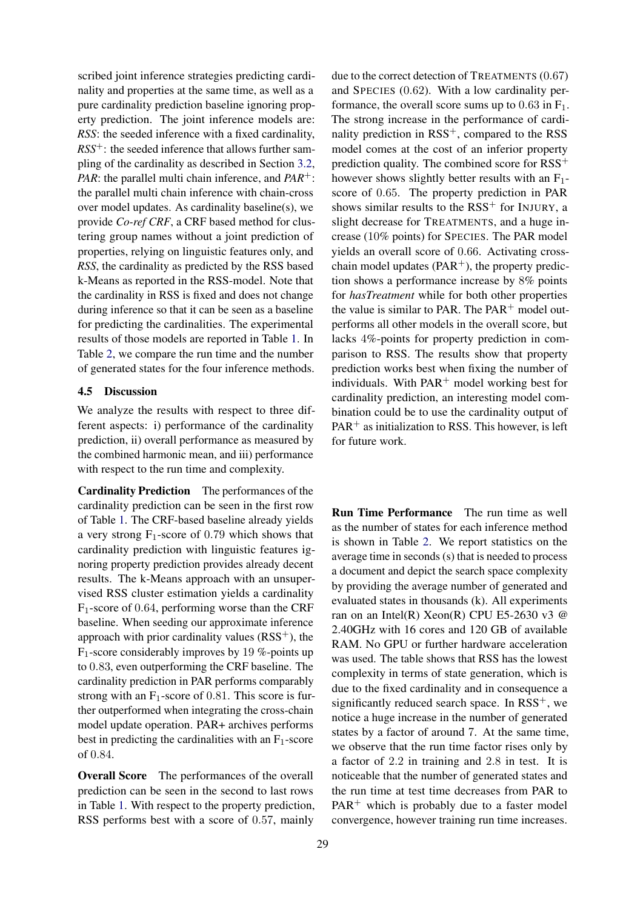scribed joint inference strategies predicting cardinality and properties at the same time, as well as a pure cardinality prediction baseline ignoring property prediction. The joint inference models are: *RSS*: the seeded inference with a fixed cardinality,  $RSS^+$ : the seeded inference that allows further sampling of the cardinality as described in Section [3.2,](#page-4-1) *PAR*: the parallel multi chain inference, and *PAR*+: the parallel multi chain inference with chain-cross over model updates. As cardinality baseline(s), we provide *Co-ref CRF*, a CRF based method for clustering group names without a joint prediction of properties, relying on linguistic features only, and *RSS*, the cardinality as predicted by the RSS based k-Means as reported in the RSS-model. Note that the cardinality in RSS is fixed and does not change during inference so that it can be seen as a baseline for predicting the cardinalities. The experimental results of those models are reported in Table [1.](#page-8-8) In Table [2,](#page-8-9) we compare the run time and the number of generated states for the four inference methods.

## 4.5 Discussion

We analyze the results with respect to three different aspects: i) performance of the cardinality prediction, ii) overall performance as measured by the combined harmonic mean, and iii) performance with respect to the run time and complexity.

Cardinality Prediction The performances of the cardinality prediction can be seen in the first row of Table [1.](#page-8-8) The CRF-based baseline already yields a very strong  $F_1$ -score of 0.79 which shows that cardinality prediction with linguistic features ignoring property prediction provides already decent results. The k-Means approach with an unsupervised RSS cluster estimation yields a cardinality  $F_1$ -score of 0.64, performing worse than the CRF baseline. When seeding our approximate inference approach with prior cardinality values  $(RSS^{+})$ , the  $F_1$ -score considerably improves by 19 %-points up to 0.83, even outperforming the CRF baseline. The cardinality prediction in PAR performs comparably strong with an  $F_1$ -score of 0.81. This score is further outperformed when integrating the cross-chain model update operation. PAR+ archives performs best in predicting the cardinalities with an  $F_1$ -score of 0.84.

Overall Score The performances of the overall prediction can be seen in the second to last rows in Table [1.](#page-8-8) With respect to the property prediction, RSS performs best with a score of 0.57, mainly

due to the correct detection of TREATMENTS (0.67) and SPECIES (0.62). With a low cardinality performance, the overall score sums up to  $0.63$  in  $F_1$ . The strong increase in the performance of cardinality prediction in RSS<sup>+</sup>, compared to the RSS model comes at the cost of an inferior property prediction quality. The combined score for RSS<sup>+</sup> however shows slightly better results with an  $F_1$ score of 0.65. The property prediction in PAR shows similar results to the  $RSS<sup>+</sup>$  for INJURY, a slight decrease for TREATMENTS, and a huge increase (10% points) for SPECIES. The PAR model yields an overall score of 0.66. Activating crosschain model updates ( $PAR^+$ ), the property prediction shows a performance increase by 8% points for *hasTreatment* while for both other properties the value is similar to PAR. The  $PAR<sup>+</sup>$  model outperforms all other models in the overall score, but lacks 4%-points for property prediction in comparison to RSS. The results show that property prediction works best when fixing the number of individuals. With  $PAR^+$  model working best for cardinality prediction, an interesting model combination could be to use the cardinality output of  $PAR<sup>+</sup>$  as initialization to RSS. This however, is left for future work.

Run Time Performance The run time as well as the number of states for each inference method is shown in Table [2.](#page-8-9) We report statistics on the average time in seconds (s) that is needed to process a document and depict the search space complexity by providing the average number of generated and evaluated states in thousands (k). All experiments ran on an Intel(R) Xeon(R) CPU E5-2630 v3 @ 2.40GHz with 16 cores and 120 GB of available RAM. No GPU or further hardware acceleration was used. The table shows that RSS has the lowest complexity in terms of state generation, which is due to the fixed cardinality and in consequence a significantly reduced search space. In  $RSS^{+}$ , we notice a huge increase in the number of generated states by a factor of around 7. At the same time, we observe that the run time factor rises only by a factor of 2.2 in training and 2.8 in test. It is noticeable that the number of generated states and the run time at test time decreases from PAR to  $PAR<sup>+</sup>$  which is probably due to a faster model convergence, however training run time increases.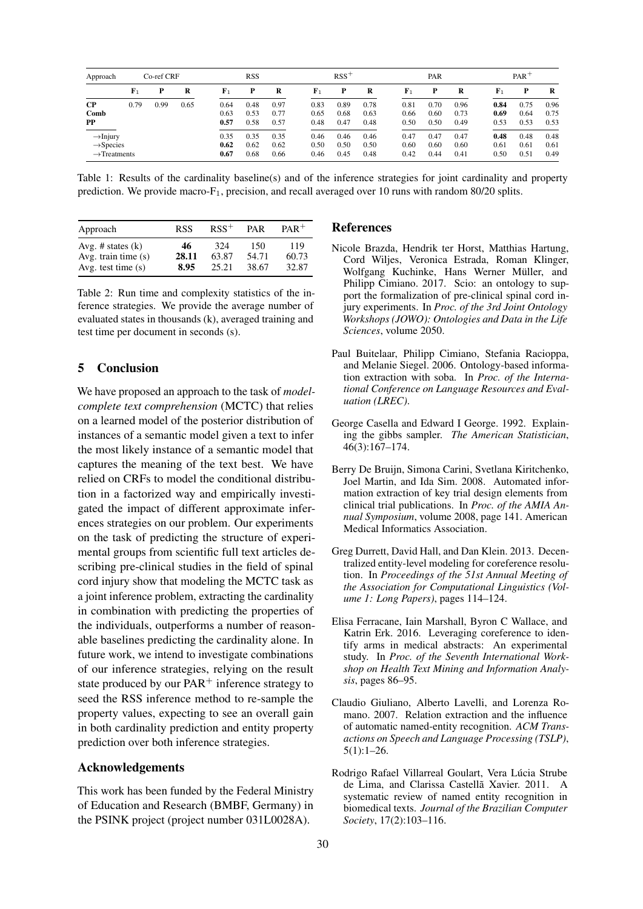<span id="page-8-8"></span>

| Approach                                                                  | Co-ref CRF  |      |      | <b>RSS</b>           |                      |                      | $RSS+$               |                      |                      | PAR                  |                      |                      | $PAR$ <sup>+</sup>   |                      |                      |
|---------------------------------------------------------------------------|-------------|------|------|----------------------|----------------------|----------------------|----------------------|----------------------|----------------------|----------------------|----------------------|----------------------|----------------------|----------------------|----------------------|
|                                                                           | ${\bf F}_1$ | Р    | R    | ${\bf F}_1$          | P                    | R                    | $\mathbf{F}_1$       | P                    | R                    | $\mathbf{F}_1$       | Р                    | R                    | $\mathbf{F}_1$       | P                    | R                    |
| $\bf CP$<br>Comb<br>PP                                                    | 0.79        | 0.99 | 0.65 | 0.64<br>0.63<br>0.57 | 0.48<br>0.53<br>0.58 | 0.97<br>0.77<br>0.57 | 0.83<br>0.65<br>0.48 | 0.89<br>0.68<br>0.47 | 0.78<br>0.63<br>0.48 | 0.81<br>0.66<br>0.50 | 0.70<br>0.60<br>0.50 | 0.96<br>0.73<br>0.49 | 0.84<br>0.69<br>0.53 | 0.75<br>0.64<br>0.53 | 0.96<br>0.75<br>0.53 |
| $\rightarrow$ Injury<br>$\rightarrow$ Species<br>$\rightarrow$ Treatments |             |      |      | 0.35<br>0.62<br>0.67 | 0.35<br>0.62<br>0.68 | 0.35<br>0.62<br>0.66 | 0.46<br>0.50<br>0.46 | 0.46<br>0.50<br>0.45 | 0.46<br>0.50<br>0.48 | 0.47<br>0.60<br>0.42 | 0.47<br>0.60<br>0.44 | 0.47<br>0.60<br>0.41 | 0.48<br>0.61<br>0.50 | 0.48<br>0.61<br>0.51 | 0.48<br>0.61<br>0.49 |

Table 1: Results of the cardinality baseline(s) and of the inference strategies for joint cardinality and property prediction. We provide macro- $F_1$ , precision, and recall averaged over 10 runs with random 80/20 splits.

<span id="page-8-9"></span>

| Approach                                     | <b>RSS</b>  | $RSS^+$      | <b>PAR</b>   | $PAR^+$      |
|----------------------------------------------|-------------|--------------|--------------|--------------|
| Avg. # states $(k)$<br>Avg. train time $(s)$ | 46<br>28.11 | 324<br>63.87 | 150<br>54.71 | 119<br>60.73 |
| Avg. test time $(s)$                         | 8.95        | 25.21        | 38.67        | 32.87        |

Table 2: Run time and complexity statistics of the inference strategies. We provide the average number of evaluated states in thousands (k), averaged training and test time per document in seconds (s).

# 5 Conclusion

We have proposed an approach to the task of *modelcomplete text comprehension* (MCTC) that relies on a learned model of the posterior distribution of instances of a semantic model given a text to infer the most likely instance of a semantic model that captures the meaning of the text best. We have relied on CRFs to model the conditional distribution in a factorized way and empirically investigated the impact of different approximate inferences strategies on our problem. Our experiments on the task of predicting the structure of experimental groups from scientific full text articles describing pre-clinical studies in the field of spinal cord injury show that modeling the MCTC task as a joint inference problem, extracting the cardinality in combination with predicting the properties of the individuals, outperforms a number of reasonable baselines predicting the cardinality alone. In future work, we intend to investigate combinations of our inference strategies, relying on the result state produced by our  $PAR^+$  inference strategy to seed the RSS inference method to re-sample the property values, expecting to see an overall gain in both cardinality prediction and entity property prediction over both inference strategies.

#### Acknowledgements

This work has been funded by the Federal Ministry of Education and Research (BMBF, Germany) in the PSINK project (project number 031L0028A).

#### References

- <span id="page-8-7"></span>Nicole Brazda, Hendrik ter Horst, Matthias Hartung, Cord Wiljes, Veronica Estrada, Roman Klinger, Wolfgang Kuchinke, Hans Werner Müller, and Philipp Cimiano. 2017. Scio: an ontology to support the formalization of pre-clinical spinal cord injury experiments. In *Proc. of the 3rd Joint Ontology Workshops (JOWO): Ontologies and Data in the Life Sciences*, volume 2050.
- <span id="page-8-4"></span>Paul Buitelaar, Philipp Cimiano, Stefania Racioppa, and Melanie Siegel. 2006. Ontology-based information extraction with soba. In *Proc. of the International Conference on Language Resources and Evaluation (LREC)*.
- <span id="page-8-6"></span>George Casella and Edward I George. 1992. Explaining the gibbs sampler. *The American Statistician*, 46(3):167–174.
- <span id="page-8-5"></span>Berry De Bruijn, Simona Carini, Svetlana Kiritchenko, Joel Martin, and Ida Sim. 2008. Automated information extraction of key trial design elements from clinical trial publications. In *Proc. of the AMIA Annual Symposium*, volume 2008, page 141. American Medical Informatics Association.
- <span id="page-8-3"></span>Greg Durrett, David Hall, and Dan Klein. 2013. Decentralized entity-level modeling for coreference resolution. In *Proceedings of the 51st Annual Meeting of the Association for Computational Linguistics (Volume 1: Long Papers)*, pages 114–124.
- <span id="page-8-1"></span>Elisa Ferracane, Iain Marshall, Byron C Wallace, and Katrin Erk. 2016. Leveraging coreference to identify arms in medical abstracts: An experimental study. In *Proc. of the Seventh International Workshop on Health Text Mining and Information Analysis*, pages 86–95.
- <span id="page-8-2"></span>Claudio Giuliano, Alberto Lavelli, and Lorenza Romano. 2007. Relation extraction and the influence of automatic named-entity recognition. *ACM Transactions on Speech and Language Processing (TSLP)*, 5(1):1–26.
- <span id="page-8-0"></span>Rodrigo Rafael Villarreal Goulart, Vera Lúcia Strube de Lima, and Clarissa Castella Xavier. 2011. A systematic review of named entity recognition in biomedical texts. *Journal of the Brazilian Computer Society*, 17(2):103–116.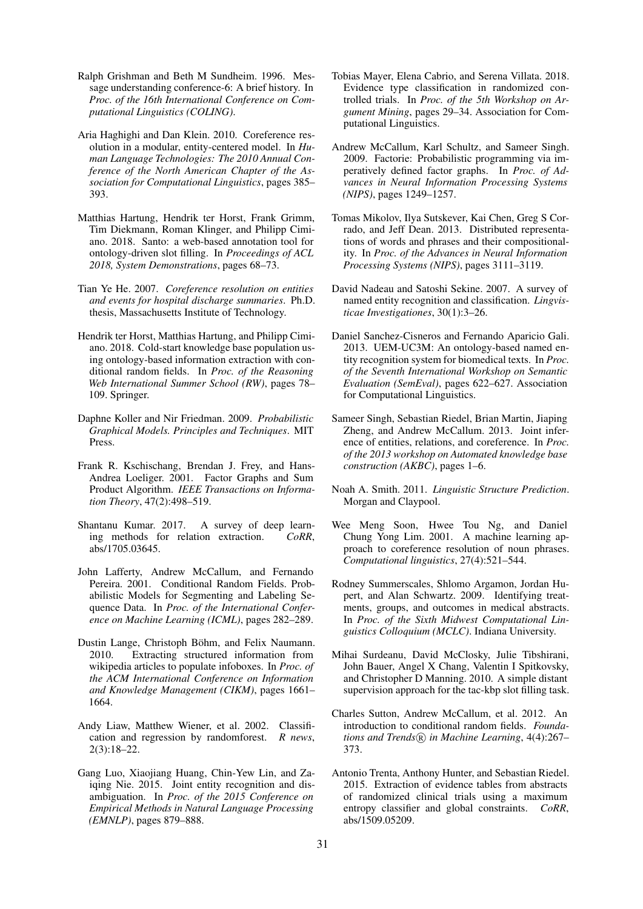- <span id="page-9-7"></span>Ralph Grishman and Beth M Sundheim. 1996. Message understanding conference-6: A brief history. In *Proc. of the 16th International Conference on Computational Linguistics (COLING)*.
- <span id="page-9-6"></span>Aria Haghighi and Dan Klein. 2010. Coreference resolution in a modular, entity-centered model. In *Human Language Technologies: The 2010 Annual Conference of the North American Chapter of the Association for Computational Linguistics*, pages 385– 393.
- <span id="page-9-21"></span>Matthias Hartung, Hendrik ter Horst, Frank Grimm, Tim Diekmann, Roman Klinger, and Philipp Cimiano. 2018. Santo: a web-based annotation tool for ontology-driven slot filling. In *Proceedings of ACL 2018, System Demonstrations*, pages 68–73.
- <span id="page-9-3"></span>Tian Ye He. 2007. *Coreference resolution on entities and events for hospital discharge summaries*. Ph.D. thesis, Massachusetts Institute of Technology.
- <span id="page-9-11"></span>Hendrik ter Horst, Matthias Hartung, and Philipp Cimiano. 2018. Cold-start knowledge base population using ontology-based information extraction with conditional random fields. In *Proc. of the Reasoning Web International Summer School (RW)*, pages 78– 109. Springer.
- <span id="page-9-19"></span>Daphne Koller and Nir Friedman. 2009. *Probabilistic Graphical Models. Principles and Techniques*. MIT Press.
- <span id="page-9-18"></span>Frank R. Kschischang, Brendan J. Frey, and Hans-Andrea Loeliger. 2001. Factor Graphs and Sum Product Algorithm. *IEEE Transactions on Information Theory*, 47(2):498–519.
- <span id="page-9-1"></span>Shantanu Kumar. 2017. A survey of deep learn-<br>ing methods for relation extraction. *CoRR*, ing methods for relation extraction. abs/1705.03645.
- <span id="page-9-16"></span>John Lafferty, Andrew McCallum, and Fernando Pereira. 2001. Conditional Random Fields. Probabilistic Models for Segmenting and Labeling Sequence Data. In *Proc. of the International Conference on Machine Learning (ICML)*, pages 282–289.
- <span id="page-9-9"></span>Dustin Lange, Christoph Böhm, and Felix Naumann. 2010. Extracting structured information from wikipedia articles to populate infoboxes. In *Proc. of the ACM International Conference on Information and Knowledge Management (CIKM)*, pages 1661– 1664.
- <span id="page-9-23"></span>Andy Liaw, Matthew Wiener, et al. 2002. Classification and regression by randomforest. *R news*, 2(3):18–22.
- <span id="page-9-5"></span>Gang Luo, Xiaojiang Huang, Chin-Yew Lin, and Zaiqing Nie. 2015. Joint entity recognition and disambiguation. In *Proc. of the 2015 Conference on Empirical Methods in Natural Language Processing (EMNLP)*, pages 879–888.
- <span id="page-9-14"></span>Tobias Mayer, Elena Cabrio, and Serena Villata. 2018. Evidence type classification in randomized controlled trials. In *Proc. of the 5th Workshop on Argument Mining*, pages 29–34. Association for Computational Linguistics.
- <span id="page-9-20"></span>Andrew McCallum, Karl Schultz, and Sameer Singh. 2009. Factorie: Probabilistic programming via imperatively defined factor graphs. In *Proc. of Advances in Neural Information Processing Systems (NIPS)*, pages 1249–1257.
- <span id="page-9-22"></span>Tomas Mikolov, Ilya Sutskever, Kai Chen, Greg S Corrado, and Jeff Dean. 2013. Distributed representations of words and phrases and their compositionality. In *Proc. of the Advances in Neural Information Processing Systems (NIPS)*, pages 3111–3119.
- <span id="page-9-0"></span>David Nadeau and Satoshi Sekine. 2007. A survey of named entity recognition and classification. *Lingvisticae Investigationes*, 30(1):3–26.
- <span id="page-9-8"></span>Daniel Sanchez-Cisneros and Fernando Aparicio Gali. 2013. UEM-UC3M: An ontology-based named entity recognition system for biomedical texts. In *Proc. of the Seventh International Workshop on Semantic Evaluation (SemEval)*, pages 622–627. Association for Computational Linguistics.
- <span id="page-9-4"></span>Sameer Singh, Sebastian Riedel, Brian Martin, Jiaping Zheng, and Andrew McCallum. 2013. Joint inference of entities, relations, and coreference. In *Proc. of the 2013 workshop on Automated knowledge base construction (AKBC)*, pages 1–6.
- <span id="page-9-15"></span>Noah A. Smith. 2011. *Linguistic Structure Prediction*. Morgan and Claypool.
- <span id="page-9-2"></span>Wee Meng Soon, Hwee Tou Ng, and Daniel Chung Yong Lim. 2001. A machine learning approach to coreference resolution of noun phrases. *Computational linguistics*, 27(4):521–544.
- <span id="page-9-12"></span>Rodney Summerscales, Shlomo Argamon, Jordan Hupert, and Alan Schwartz. 2009. Identifying treatments, groups, and outcomes in medical abstracts. In *Proc. of the Sixth Midwest Computational Linguistics Colloquium (MCLC)*. Indiana University.
- <span id="page-9-10"></span>Mihai Surdeanu, David McClosky, Julie Tibshirani, John Bauer, Angel X Chang, Valentin I Spitkovsky, and Christopher D Manning. 2010. A simple distant supervision approach for the tac-kbp slot filling task.
- <span id="page-9-17"></span>Charles Sutton, Andrew McCallum, et al. 2012. An introduction to conditional random fields. *Foundations and Trends*(R) in Machine Learning, 4(4):267– 373.
- <span id="page-9-13"></span>Antonio Trenta, Anthony Hunter, and Sebastian Riedel. 2015. Extraction of evidence tables from abstracts of randomized clinical trials using a maximum entropy classifier and global constraints. *CoRR*, abs/1509.05209.